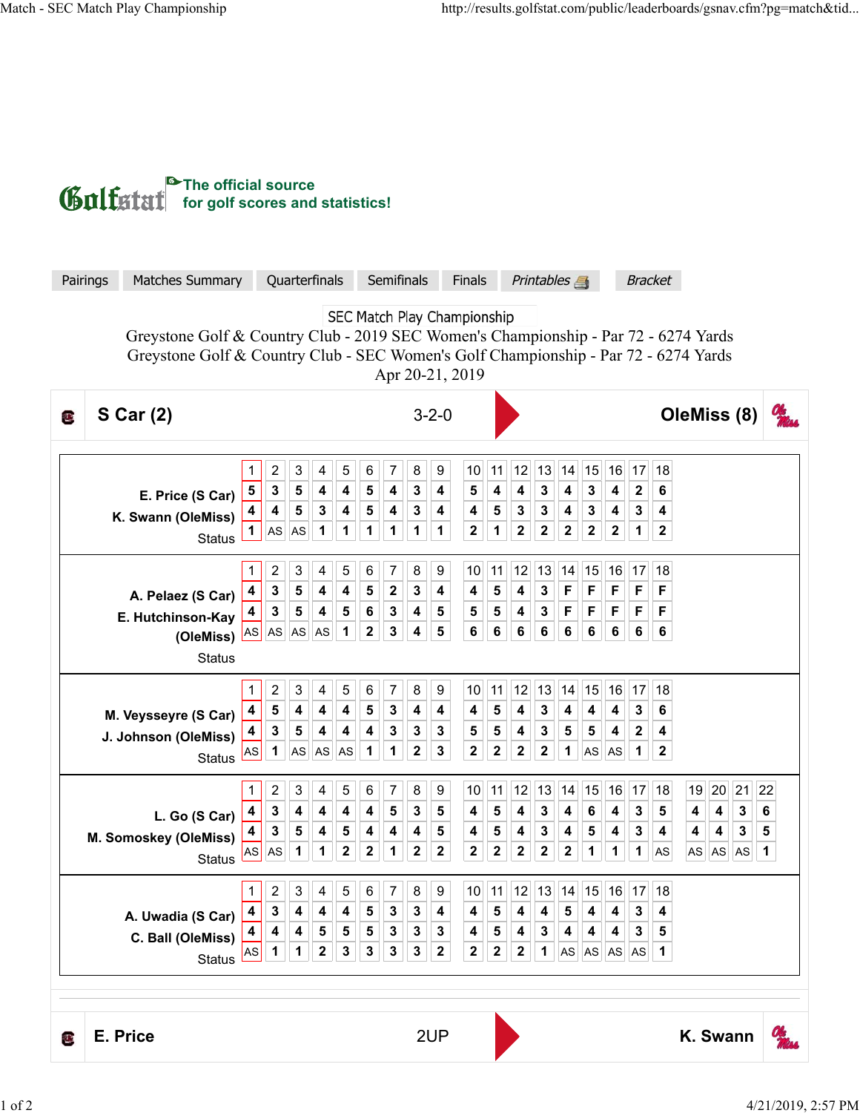

| Pairings                                                                                                                                                                                                                     | <b>Matches Summary</b>                                                  | Quarterfinals                                                                               |                                                                                                                                                                       | Semifinals                                                                                                                    | Finals                                                                                             | <b>Printables</b><br><b>Bracket</b>                                                                                                                                                          |                                                                                                                   |  |
|------------------------------------------------------------------------------------------------------------------------------------------------------------------------------------------------------------------------------|-------------------------------------------------------------------------|---------------------------------------------------------------------------------------------|-----------------------------------------------------------------------------------------------------------------------------------------------------------------------|-------------------------------------------------------------------------------------------------------------------------------|----------------------------------------------------------------------------------------------------|----------------------------------------------------------------------------------------------------------------------------------------------------------------------------------------------|-------------------------------------------------------------------------------------------------------------------|--|
| SEC Match Play Championship<br>Greystone Golf & Country Club - 2019 SEC Women's Championship - Par 72 - 6274 Yards<br>Greystone Golf & Country Club - SEC Women's Golf Championship - Par 72 - 6274 Yards<br>Apr 20-21, 2019 |                                                                         |                                                                                             |                                                                                                                                                                       |                                                                                                                               |                                                                                                    |                                                                                                                                                                                              |                                                                                                                   |  |
| <b>S Car (2)</b><br>Œ                                                                                                                                                                                                        |                                                                         | $3 - 2 - 0$                                                                                 |                                                                                                                                                                       |                                                                                                                               |                                                                                                    | OleMiss (8)                                                                                                                                                                                  |                                                                                                                   |  |
|                                                                                                                                                                                                                              | E. Price (S Car)<br>K. Swann (OleMiss)<br><b>Status</b>                 | 2<br>3<br>1<br>5<br>3<br>${\bf 5}$<br>4<br>$\sqrt{5}$<br>4<br>1<br>AS<br>AS                 | 5<br>4<br>6<br>$\overline{\mathbf{4}}$<br>$\overline{\mathbf{4}}$<br>${\bf 5}$<br>$\mathbf 3$<br>$\overline{\mathbf{4}}$<br>${\bf 5}$<br>1<br>1<br>$\mathbf 1$        | 9<br>7<br>8<br>4<br>3<br>4<br>3<br>4<br>4<br>1<br>$\mathbf{1}$<br>1                                                           | 12<br>10<br>11<br>4<br>4<br>5<br>4<br>5<br>3<br>$\mathbf{2}$<br>$\mathbf 2$<br>1                   | 13<br>15<br>16<br>17<br>14<br>$\mathbf 3$<br>4<br>3<br>4<br>$\boldsymbol{2}$<br>$\mathbf 3$<br>$\overline{\mathbf{4}}$<br>3<br>3<br>4<br>$\mathbf 2$<br>$\mathbf 2$<br>2<br>$\mathbf 2$<br>1 | 18<br>6<br>4<br>$\boldsymbol{2}$                                                                                  |  |
|                                                                                                                                                                                                                              | A. Pelaez (S Car)<br>E. Hutchinson-Kay<br>(OleMiss) AS<br><b>Status</b> | 2<br>3<br>$\mathbf 3$<br>${\bf 5}$<br>4<br>3<br>${\bf 5}$<br>4<br>AS<br>AS                  | 4<br>5<br>6<br>$\overline{\mathbf{4}}$<br>$\overline{\mathbf{4}}$<br>${\bf 5}$<br>$\overline{\mathbf{5}}$<br>$\overline{\mathbf{4}}$<br>$\bf 6$<br>$\bf 2$<br>1<br>AS | 7<br>8<br>9<br>$\mathbf 2$<br>3<br>4<br>3<br>4<br>${\bf 5}$<br>4<br>5<br>3                                                    | 12<br>10<br>11<br>4<br>4<br>5<br>5<br>5<br>4<br>6<br>$\bf 6$<br>6                                  | 13<br>14<br>15<br>16<br>17<br>$\mathbf{3}$<br>F<br>F<br>F<br>F<br>$\mathbf 3$<br>$\mathsf F$<br>F<br>F<br>F<br>$\bf 6$<br>6<br>6<br>$\bf 6$<br>6                                             | 18<br>F<br>F<br>6                                                                                                 |  |
|                                                                                                                                                                                                                              | M. Veysseyre (S Car)<br>J. Johnson (OleMiss)<br><b>Status</b>           | 2<br>3<br>5<br>4<br>4<br>3<br>4<br>${\bf 5}$<br>1<br>AS<br>AS                               | 4<br>5<br>6<br>4<br>${\bf 5}$<br>$\overline{\mathbf{4}}$<br>$\overline{\mathbf{4}}$<br>$\overline{\mathbf{4}}$<br>4<br>AS<br>AS<br>1                                  | 7<br>8<br>9<br>$\mathbf 3$<br>4<br>4<br>3<br>3<br>${\bf 3}$<br>$\boldsymbol{2}$<br>$\mathbf 3$<br>1                           | 10<br>12<br>11<br>5<br>4<br>4<br>5<br>5<br>4<br>$\mathbf 2$<br>$\bf 2$<br>$\mathbf 2$              | 13<br>14<br>15<br>16<br>17<br>$\mathbf 3$<br>4<br>$\mathbf 3$<br>4<br>4<br>$\mathbf 3$<br>5<br>5<br>2<br>4<br>$\mathbf 2$<br>$\mathbf 1$<br>$\mathbf 1$<br>AS<br>AS                          | 18<br>6<br>4<br>$\mathbf 2$                                                                                       |  |
|                                                                                                                                                                                                                              | L. Go (S Car)<br>M. Somoskey (OleMiss)<br><b>Status</b>                 | 2<br>3<br>1<br>3<br>4<br>4<br>${\bf 3}$<br>$\sqrt{5}$<br>4<br>1<br><b>AS</b><br>AS          | 5<br>6<br>4<br>$\overline{\mathbf{4}}$<br>$\overline{\mathbf{4}}$<br>$\overline{\mathbf{4}}$<br>4<br>5<br>4<br>$\mathbf 2$<br>$\mathbf 2$<br>1                        | 7<br>9<br>8<br>5<br>3<br>5<br>4<br>4<br>5<br>$\mathbf 2$<br>$\bf 2$<br>1                                                      | 12<br>10<br>11<br>4<br>4<br>5<br>5<br>4<br>4<br>$\mathbf 2$<br>$\bf 2$<br>$\mathbf 2$              | 13<br>15<br>16<br>14<br>17<br>$\mathbf 3$<br>4<br>$\bf 6$<br>4<br>3<br>$\mathbf 3$<br>4<br>5<br>4<br>3<br>$\overline{\mathbf{2}}$<br>$\boldsymbol{2}$<br>1<br>1<br>1                         | 18<br>19<br>20<br>21<br>22<br>3<br>6<br>5<br>4<br>4<br>3<br>5<br>4<br>4<br>4<br>AS<br>1<br><b>AS</b><br>AS<br> AS |  |
|                                                                                                                                                                                                                              | A. Uwadia (S Car)<br>C. Ball (OleMiss)<br><b>Status</b>                 | $\boldsymbol{2}$<br>1<br>$\ensuremath{\mathsf{3}}$<br>3<br>4<br>4<br>4<br>4<br>1<br>1<br>AS | 5<br>$\overline{\mathbf{4}}$<br>6<br>5<br>4<br>4<br>5<br>5<br>5<br>$\mathbf{2}$<br>$\mathbf 3$<br>$\mathbf 3$                                                         | $\overline{7}$<br>8<br>$\boldsymbol{9}$<br>3<br>3<br>4<br>3<br>$\boldsymbol{3}$<br>3<br>3<br>$\mathbf{3}$<br>$\boldsymbol{2}$ | 11 <br>10 <sup>1</sup><br>4<br>5<br>4<br>5<br>4<br>4<br>$\mathbf 2$<br>$\mathbf 2$<br>$\mathbf{2}$ | 12  13  14  15  16  17  18<br>3<br>4<br>5<br>4<br>4<br>3<br>4<br>3<br>4<br>1<br>AS  AS  AS<br>AS                                                                                             | 4<br>5<br>1                                                                                                       |  |
| U.                                                                                                                                                                                                                           | E. Price                                                                |                                                                                             |                                                                                                                                                                       | 2UP                                                                                                                           |                                                                                                    |                                                                                                                                                                                              | K. Swann                                                                                                          |  |